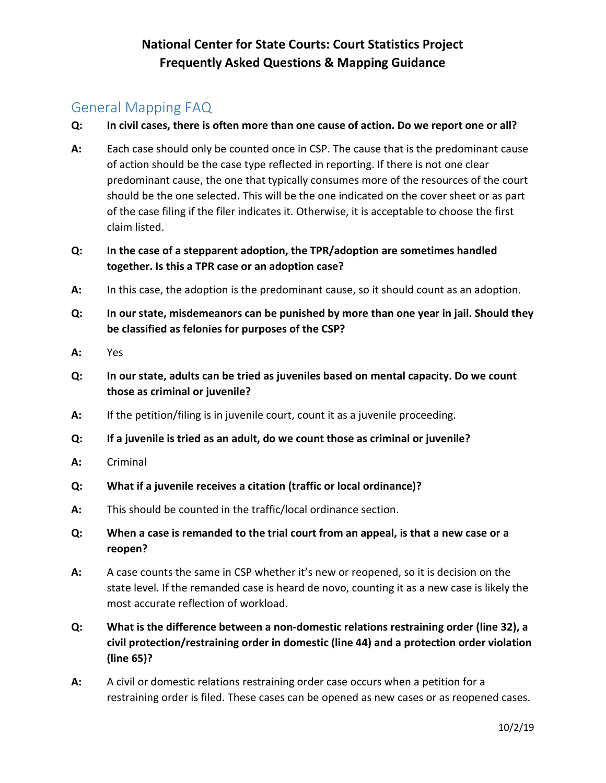#### General Mapping FAQ

- Q: In civil cases, there is often more than one cause of action. Do we report one or all?
- A: Each case should only be counted once in CSP. The cause that is the predominant cause of action should be the case type reflected in reporting. If there is not one clear predominant cause, the one that typically consumes more of the resources of the court should be the one selected. This will be the one indicated on the cover sheet or as part of the case filing if the filer indicates it. Otherwise, it is acceptable to choose the first claim listed.
- Q: In the case of a stepparent adoption, the TPR/adoption are sometimes handled together. Is this a TPR case or an adoption case?
- A: In this case, the adoption is the predominant cause, so it should count as an adoption.
- Q: In our state, misdemeanors can be punished by more than one year in jail. Should they be classified as felonies for purposes of the CSP?
- A: Yes
- Q: In our state, adults can be tried as juveniles based on mental capacity. Do we count those as criminal or juvenile?
- A: If the petition/filing is in juvenile court, count it as a juvenile proceeding.
- Q: If a juvenile is tried as an adult, do we count those as criminal or juvenile?
- A: Criminal
- Q: What if a juvenile receives a citation (traffic or local ordinance)?
- A: This should be counted in the traffic/local ordinance section.
- Q: When a case is remanded to the trial court from an appeal, is that a new case or a reopen?
- A: A case counts the same in CSP whether it's new or reopened, so it is decision on the state level. If the remanded case is heard de novo, counting it as a new case is likely the most accurate reflection of workload.
- Q: What is the difference between a non-domestic relations restraining order (line 32), a civil protection/restraining order in domestic (line 44) and a protection order violation (line 65)?
- A: A civil or domestic relations restraining order case occurs when a petition for a restraining order is filed. These cases can be opened as new cases or as reopened cases.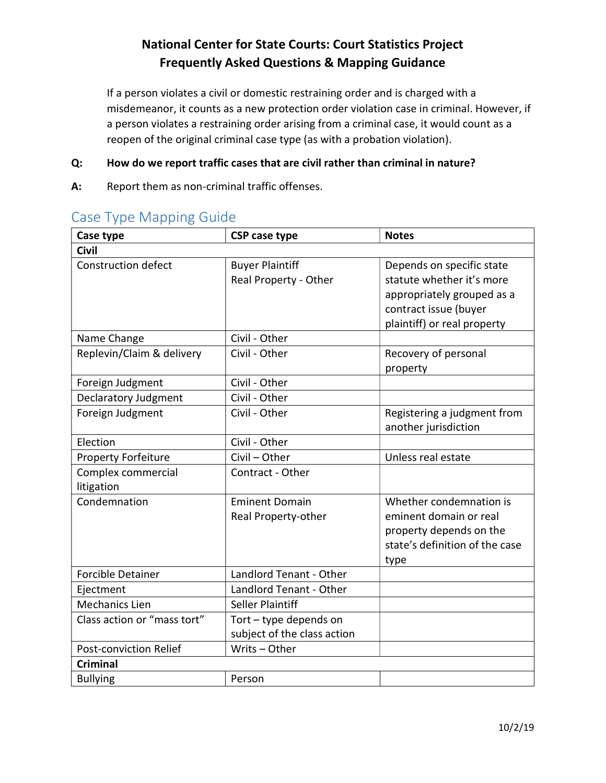If a person violates a civil or domestic restraining order and is charged with a misdemeanor, it counts as a new protection order violation case in criminal. However, if a person violates a restraining order arising from a criminal case, it would count as a reopen of the original criminal case type (as with a probation violation).

#### Q: How do we report traffic cases that are civil rather than criminal in nature?

A: Report them as non-criminal traffic offenses.

| Case type                        | <b>CSP case type</b>                                  | <b>Notes</b>                                                                                                                                 |  |
|----------------------------------|-------------------------------------------------------|----------------------------------------------------------------------------------------------------------------------------------------------|--|
| <b>Civil</b>                     |                                                       |                                                                                                                                              |  |
| <b>Construction defect</b>       | <b>Buyer Plaintiff</b><br>Real Property - Other       | Depends on specific state<br>statute whether it's more<br>appropriately grouped as a<br>contract issue (buyer<br>plaintiff) or real property |  |
| Name Change                      | Civil - Other                                         |                                                                                                                                              |  |
| Replevin/Claim & delivery        | Civil - Other                                         | Recovery of personal<br>property                                                                                                             |  |
| Foreign Judgment                 | Civil - Other                                         |                                                                                                                                              |  |
| <b>Declaratory Judgment</b>      | Civil - Other                                         |                                                                                                                                              |  |
| Foreign Judgment                 | Civil - Other                                         | Registering a judgment from<br>another jurisdiction                                                                                          |  |
| Election                         | Civil - Other                                         |                                                                                                                                              |  |
| <b>Property Forfeiture</b>       | Civil - Other                                         | Unless real estate                                                                                                                           |  |
| Complex commercial<br>litigation | Contract - Other                                      |                                                                                                                                              |  |
| Condemnation                     | <b>Eminent Domain</b><br>Real Property-other          | Whether condemnation is<br>eminent domain or real<br>property depends on the<br>state's definition of the case<br>type                       |  |
| <b>Forcible Detainer</b>         | Landlord Tenant - Other                               |                                                                                                                                              |  |
| Ejectment                        | Landlord Tenant - Other                               |                                                                                                                                              |  |
| <b>Mechanics Lien</b>            | Seller Plaintiff                                      |                                                                                                                                              |  |
| Class action or "mass tort"      | Tort - type depends on<br>subject of the class action |                                                                                                                                              |  |
| Post-conviction Relief           | Writs - Other                                         |                                                                                                                                              |  |
| <b>Criminal</b>                  |                                                       |                                                                                                                                              |  |
| <b>Bullying</b>                  | Person                                                |                                                                                                                                              |  |

### Case Type Mapping Guide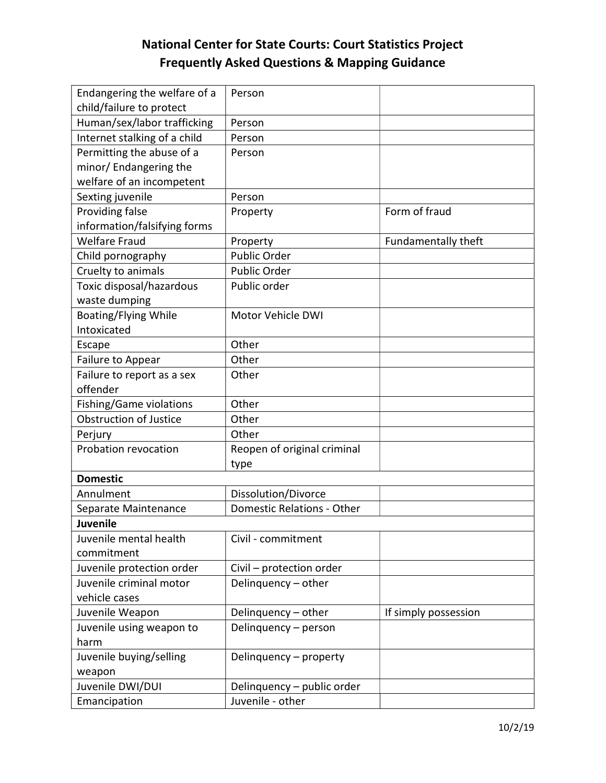| Endangering the welfare of a  | Person                            |                      |  |  |
|-------------------------------|-----------------------------------|----------------------|--|--|
| child/failure to protect      |                                   |                      |  |  |
| Human/sex/labor trafficking   | Person                            |                      |  |  |
| Internet stalking of a child  | Person                            |                      |  |  |
| Permitting the abuse of a     | Person                            |                      |  |  |
| minor/ Endangering the        |                                   |                      |  |  |
| welfare of an incompetent     |                                   |                      |  |  |
| Sexting juvenile              | Person                            |                      |  |  |
| Providing false               | Property                          | Form of fraud        |  |  |
| information/falsifying forms  |                                   |                      |  |  |
| <b>Welfare Fraud</b>          | Property                          | Fundamentally theft  |  |  |
| Child pornography             | <b>Public Order</b>               |                      |  |  |
| Cruelty to animals            | Public Order                      |                      |  |  |
| Toxic disposal/hazardous      | Public order                      |                      |  |  |
| waste dumping                 |                                   |                      |  |  |
| <b>Boating/Flying While</b>   | Motor Vehicle DWI                 |                      |  |  |
| Intoxicated                   |                                   |                      |  |  |
| Escape                        | Other                             |                      |  |  |
| Failure to Appear             | Other                             |                      |  |  |
| Failure to report as a sex    | Other                             |                      |  |  |
| offender                      |                                   |                      |  |  |
| Fishing/Game violations       | Other                             |                      |  |  |
| <b>Obstruction of Justice</b> | Other                             |                      |  |  |
| Perjury                       | Other                             |                      |  |  |
| Probation revocation          | Reopen of original criminal       |                      |  |  |
|                               | type                              |                      |  |  |
| <b>Domestic</b>               |                                   |                      |  |  |
| Annulment                     | Dissolution/Divorce               |                      |  |  |
| Separate Maintenance          | <b>Domestic Relations - Other</b> |                      |  |  |
| Juvenile                      |                                   |                      |  |  |
| Juvenile mental health        | Civil - commitment                |                      |  |  |
| commitment                    |                                   |                      |  |  |
| Juvenile protection order     | Civil - protection order          |                      |  |  |
| Juvenile criminal motor       | Delinquency - other               |                      |  |  |
| vehicle cases                 |                                   |                      |  |  |
| Juvenile Weapon               | Delinquency - other               | If simply possession |  |  |
| Juvenile using weapon to      | Delinguency - person              |                      |  |  |
| harm                          |                                   |                      |  |  |
| Juvenile buying/selling       | Delinquency - property            |                      |  |  |
| weapon                        |                                   |                      |  |  |
| Juvenile DWI/DUI              | Delinquency - public order        |                      |  |  |
| Emancipation                  | Juvenile - other                  |                      |  |  |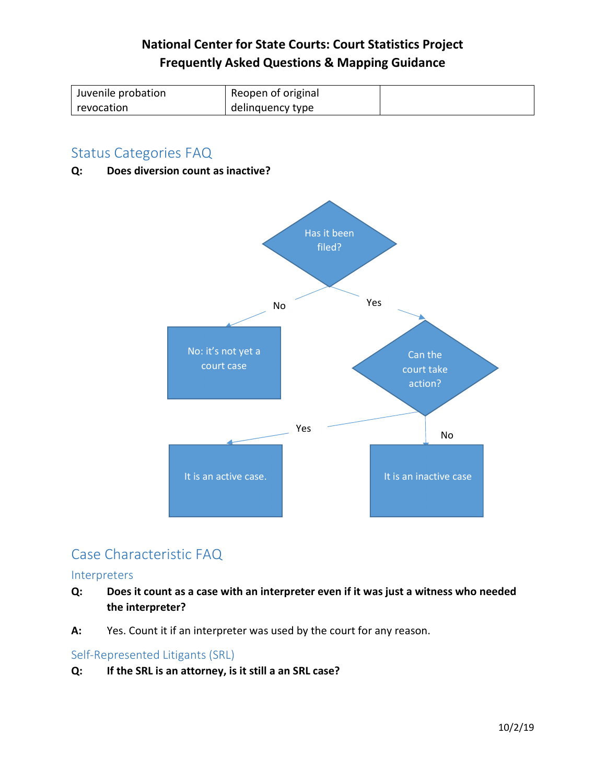| Juvenile probation | Reopen of original |  |
|--------------------|--------------------|--|
| revocation         | delinguency type   |  |

#### Status Categories FAQ

Q: Does diversion count as inactive?



### Case Characteristic FAQ

#### Interpreters

- Q: Does it count as a case with an interpreter even if it was just a witness who needed the interpreter?
- A: Yes. Count it if an interpreter was used by the court for any reason.

#### Self-Represented Litigants (SRL)

#### Q: If the SRL is an attorney, is it still a an SRL case?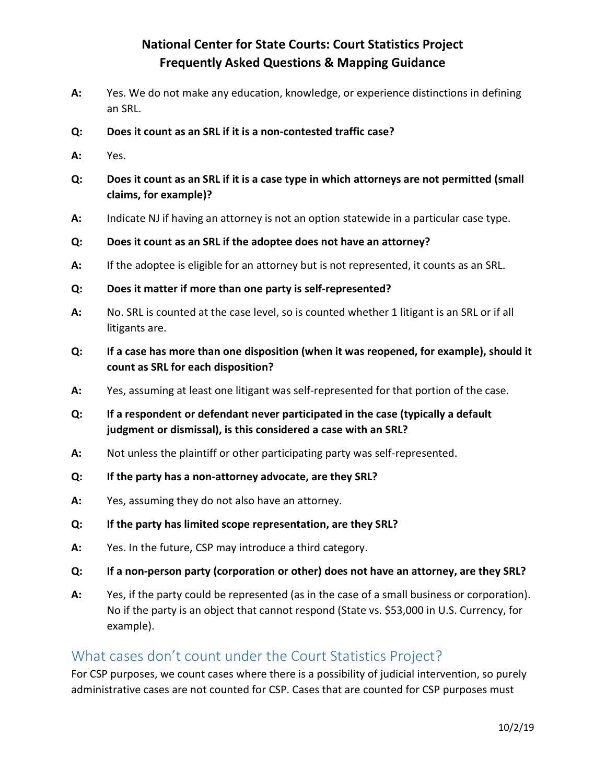- A: Yes. We do not make any education, knowledge, or experience distinctions in defining an SRL.
- Q: Does it count as an SRL if it is a non-contested traffic case?
- A: Yes.
- Q: Does it count as an SRL if it is a case type in which attorneys are not permitted (small claims, for example)?
- A: Indicate NJ if having an attorney is not an option statewide in a particular case type.
- Q: Does it count as an SRL if the adoptee does not have an attorney?
- A: If the adoptee is eligible for an attorney but is not represented, it counts as an SRL.
- Q: Does it matter if more than one party is self-represented?
- A: No. SRL is counted at the case level, so is counted whether 1 litigant is an SRL or if all litigants are.
- Q: If a case has more than one disposition (when it was reopened, for example), should it count as SRL for each disposition?
- A: Yes, assuming at least one litigant was self-represented for that portion of the case.
- Q: If a respondent or defendant never participated in the case (typically a default judgment or dismissal), is this considered a case with an SRL?
- A: Not unless the plaintiff or other participating party was self-represented.
- Q: If the party has a non-attorney advocate, are they SRL?
- A: Yes, assuming they do not also have an attorney.
- Q: If the party has limited scope representation, are they SRL?
- A: Yes. In the future, CSP may introduce a third category.
- Q: If a non-person party (corporation or other) does not have an attorney, are they SRL?
- A: Yes, if the party could be represented (as in the case of a small business or corporation). No if the party is an object that cannot respond (State vs. \$53,000 in U.S. Currency, for example).

#### What cases don't count under the Court Statistics Project?

For CSP purposes, we count cases where there is a possibility of judicial intervention, so purely administrative cases are not counted for CSP. Cases that are counted for CSP purposes must